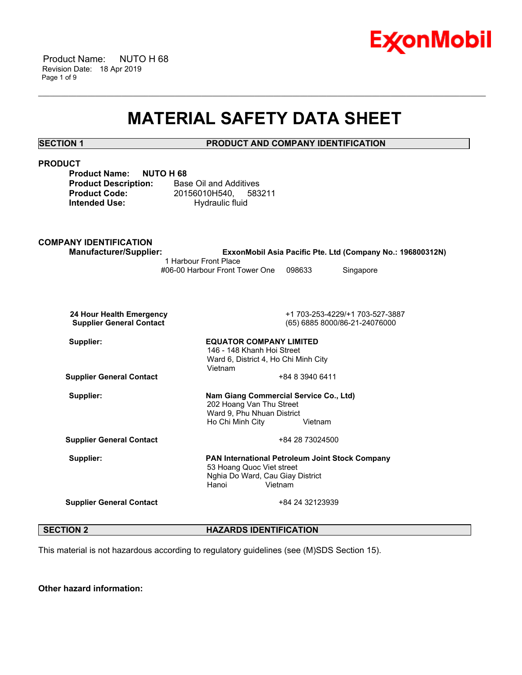

 Product Name: NUTO H 68 Revision Date: 18 Apr 2019 Page 1 of 9

## **MATERIAL SAFETY DATA SHEET**

\_\_\_\_\_\_\_\_\_\_\_\_\_\_\_\_\_\_\_\_\_\_\_\_\_\_\_\_\_\_\_\_\_\_\_\_\_\_\_\_\_\_\_\_\_\_\_\_\_\_\_\_\_\_\_\_\_\_\_\_\_\_\_\_\_\_\_\_\_\_\_\_\_\_\_\_\_\_\_\_\_\_\_\_\_\_\_\_\_\_\_\_\_\_\_\_\_\_\_\_\_\_\_\_\_\_\_\_\_\_\_\_\_\_\_\_\_\_

### **SECTION 1 PRODUCT AND COMPANY IDENTIFICATION**

| <b>PRODUCT</b>                                                                                 |                                                                                                                  |                 |                                                            |
|------------------------------------------------------------------------------------------------|------------------------------------------------------------------------------------------------------------------|-----------------|------------------------------------------------------------|
| <b>Product Name:</b><br><b>NUTO H68</b><br><b>Product Description:</b><br><b>Product Code:</b> | <b>Base Oil and Additives</b><br>20156010H540,<br>583211                                                         |                 |                                                            |
| <b>Intended Use:</b>                                                                           | Hydraulic fluid                                                                                                  |                 |                                                            |
| <b>COMPANY IDENTIFICATION</b>                                                                  |                                                                                                                  |                 |                                                            |
| <b>Manufacturer/Supplier:</b>                                                                  | 1 Harbour Front Place                                                                                            |                 | ExxonMobil Asia Pacific Pte. Ltd (Company No.: 196800312N) |
|                                                                                                | #06-00 Harbour Front Tower One                                                                                   | 098633          | Singapore                                                  |
|                                                                                                |                                                                                                                  |                 |                                                            |
| 24 Hour Health Emergency<br><b>Supplier General Contact</b>                                    | +1 703-253-4229/+1 703-527-3887<br>(65) 6885 8000/86-21-24076000                                                 |                 |                                                            |
| Supplier:                                                                                      | <b>EQUATOR COMPANY LIMITED</b><br>146 - 148 Khanh Hoi Street<br>Ward 6, District 4, Ho Chi Minh City             |                 |                                                            |
|                                                                                                | Vietnam                                                                                                          |                 |                                                            |
| <b>Supplier General Contact</b>                                                                |                                                                                                                  | +84 8 3940 6411 |                                                            |
| Supplier:                                                                                      | Nam Giang Commercial Service Co., Ltd)<br>202 Hoang Van Thu Street<br>Ward 9, Phu Nhuan District                 |                 |                                                            |
|                                                                                                | Ho Chi Minh City                                                                                                 | Vietnam         |                                                            |
| <b>Supplier General Contact</b>                                                                |                                                                                                                  | +84 28 73024500 |                                                            |
| Supplier:                                                                                      | PAN International Petroleum Joint Stock Company<br>53 Hoang Quoc Viet street<br>Nghia Do Ward, Cau Giay District |                 |                                                            |
|                                                                                                | Hanoi<br>Vietnam                                                                                                 |                 |                                                            |
| <b>Supplier General Contact</b>                                                                |                                                                                                                  | +84 24 32123939 |                                                            |
|                                                                                                |                                                                                                                  |                 |                                                            |

**SECTION 2 HAZARDS IDENTIFICATION** 

This material is not hazardous according to regulatory guidelines (see (M)SDS Section 15).

**Other hazard information:**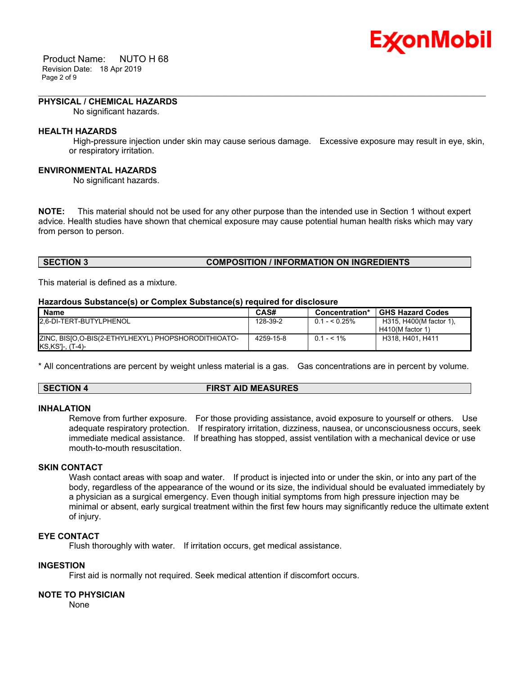

 Product Name: NUTO H 68 Revision Date: 18 Apr 2019 Page 2 of 9

#### **PHYSICAL / CHEMICAL HAZARDS**

No significant hazards.

#### **HEALTH HAZARDS**

 High-pressure injection under skin may cause serious damage. Excessive exposure may result in eye, skin, or respiratory irritation.

\_\_\_\_\_\_\_\_\_\_\_\_\_\_\_\_\_\_\_\_\_\_\_\_\_\_\_\_\_\_\_\_\_\_\_\_\_\_\_\_\_\_\_\_\_\_\_\_\_\_\_\_\_\_\_\_\_\_\_\_\_\_\_\_\_\_\_\_\_\_\_\_\_\_\_\_\_\_\_\_\_\_\_\_\_\_\_\_\_\_\_\_\_\_\_\_\_\_\_\_\_\_\_\_\_\_\_\_\_\_\_\_\_\_\_\_\_\_

#### **ENVIRONMENTAL HAZARDS**

No significant hazards.

**NOTE:** This material should not be used for any other purpose than the intended use in Section 1 without expert advice. Health studies have shown that chemical exposure may cause potential human health risks which may vary from person to person.

### **SECTION 3 COMPOSITION / INFORMATION ON INGREDIENTS**

This material is defined as a mixture.

#### **Hazardous Substance(s) or Complex Substance(s) required for disclosure**

| Name                                                                      | CAS#      | Concentration* | <b>GHS Hazard Codes</b>                       |
|---------------------------------------------------------------------------|-----------|----------------|-----------------------------------------------|
| 2.6-DI-TERT-BUTYLPHENOL                                                   | 128-39-2  | $0.1 - 5.25\%$ | H315, H400(M factor 1),<br>$H410(M$ factor 1) |
| ZINC, BISIO, O-BIS(2-ETHYLHEXYL) PHOPSHORODITHIOATO-<br>KS, KS']-, (T-4)- | 4259-15-8 | $0.1 - 5.1\%$  | H318, H401, H411                              |

\* All concentrations are percent by weight unless material is a gas. Gas concentrations are in percent by volume.

#### **SECTION 4 FIRST AID MEASURES**

#### **INHALATION**

Remove from further exposure. For those providing assistance, avoid exposure to yourself or others. Use adequate respiratory protection. If respiratory irritation, dizziness, nausea, or unconsciousness occurs, seek immediate medical assistance. If breathing has stopped, assist ventilation with a mechanical device or use mouth-to-mouth resuscitation.

#### **SKIN CONTACT**

Wash contact areas with soap and water. If product is injected into or under the skin, or into any part of the body, regardless of the appearance of the wound or its size, the individual should be evaluated immediately by a physician as a surgical emergency. Even though initial symptoms from high pressure injection may be minimal or absent, early surgical treatment within the first few hours may significantly reduce the ultimate extent of injury.

#### **EYE CONTACT**

Flush thoroughly with water. If irritation occurs, get medical assistance.

#### **INGESTION**

First aid is normally not required. Seek medical attention if discomfort occurs.

#### **NOTE TO PHYSICIAN**

None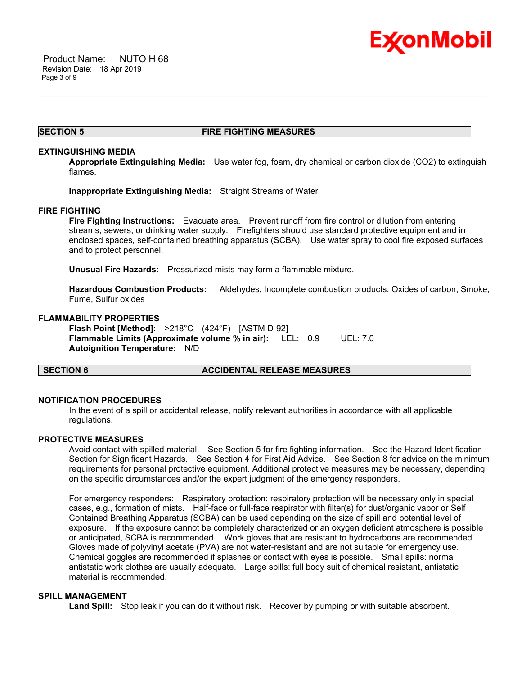

#### **SECTION 5 FIRE FIGHTING MEASURES**

\_\_\_\_\_\_\_\_\_\_\_\_\_\_\_\_\_\_\_\_\_\_\_\_\_\_\_\_\_\_\_\_\_\_\_\_\_\_\_\_\_\_\_\_\_\_\_\_\_\_\_\_\_\_\_\_\_\_\_\_\_\_\_\_\_\_\_\_\_\_\_\_\_\_\_\_\_\_\_\_\_\_\_\_\_\_\_\_\_\_\_\_\_\_\_\_\_\_\_\_\_\_\_\_\_\_\_\_\_\_\_\_\_\_\_\_\_\_

#### **EXTINGUISHING MEDIA**

**Appropriate Extinguishing Media:** Use water fog, foam, dry chemical or carbon dioxide (CO2) to extinguish flames.

**Inappropriate Extinguishing Media:** Straight Streams of Water

#### **FIRE FIGHTING**

**Fire Fighting Instructions:** Evacuate area. Prevent runoff from fire control or dilution from entering streams, sewers, or drinking water supply. Firefighters should use standard protective equipment and in enclosed spaces, self-contained breathing apparatus (SCBA). Use water spray to cool fire exposed surfaces and to protect personnel.

**Unusual Fire Hazards:** Pressurized mists may form a flammable mixture.

**Hazardous Combustion Products:** Aldehydes, Incomplete combustion products, Oxides of carbon, Smoke, Fume, Sulfur oxides

#### **FLAMMABILITY PROPERTIES**

**Flash Point [Method]:** >218°C (424°F) [ASTM D-92] **Flammable Limits (Approximate volume % in air):** LEL: 0.9 UEL: 7.0 **Autoignition Temperature:** N/D

#### **SECTION 6 ACCIDENTAL RELEASE MEASURES**

#### **NOTIFICATION PROCEDURES**

In the event of a spill or accidental release, notify relevant authorities in accordance with all applicable regulations.

#### **PROTECTIVE MEASURES**

Avoid contact with spilled material. See Section 5 for fire fighting information. See the Hazard Identification Section for Significant Hazards. See Section 4 for First Aid Advice. See Section 8 for advice on the minimum requirements for personal protective equipment. Additional protective measures may be necessary, depending on the specific circumstances and/or the expert judgment of the emergency responders.

For emergency responders: Respiratory protection: respiratory protection will be necessary only in special cases, e.g., formation of mists. Half-face or full-face respirator with filter(s) for dust/organic vapor or Self Contained Breathing Apparatus (SCBA) can be used depending on the size of spill and potential level of exposure. If the exposure cannot be completely characterized or an oxygen deficient atmosphere is possible or anticipated, SCBA is recommended. Work gloves that are resistant to hydrocarbons are recommended. Gloves made of polyvinyl acetate (PVA) are not water-resistant and are not suitable for emergency use. Chemical goggles are recommended if splashes or contact with eyes is possible. Small spills: normal antistatic work clothes are usually adequate. Large spills: full body suit of chemical resistant, antistatic material is recommended.

#### **SPILL MANAGEMENT**

Land Spill: Stop leak if you can do it without risk. Recover by pumping or with suitable absorbent.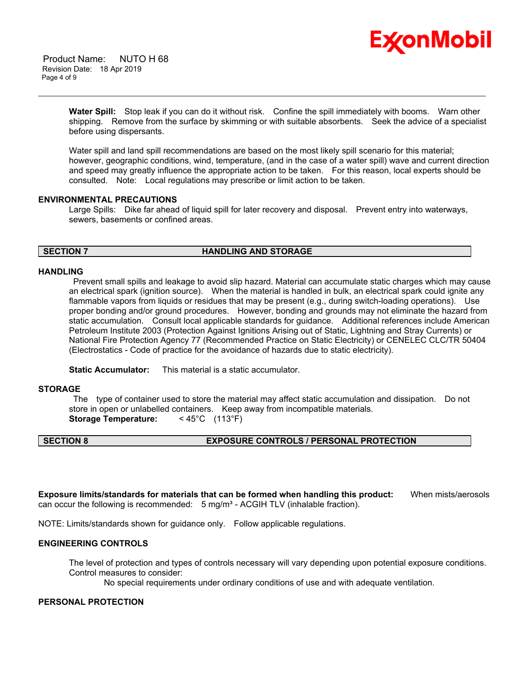

 Product Name: NUTO H 68 Revision Date: 18 Apr 2019 Page 4 of 9

> **Water Spill:** Stop leak if you can do it without risk. Confine the spill immediately with booms. Warn other shipping. Remove from the surface by skimming or with suitable absorbents. Seek the advice of a specialist before using dispersants.

\_\_\_\_\_\_\_\_\_\_\_\_\_\_\_\_\_\_\_\_\_\_\_\_\_\_\_\_\_\_\_\_\_\_\_\_\_\_\_\_\_\_\_\_\_\_\_\_\_\_\_\_\_\_\_\_\_\_\_\_\_\_\_\_\_\_\_\_\_\_\_\_\_\_\_\_\_\_\_\_\_\_\_\_\_\_\_\_\_\_\_\_\_\_\_\_\_\_\_\_\_\_\_\_\_\_\_\_\_\_\_\_\_\_\_\_\_\_

Water spill and land spill recommendations are based on the most likely spill scenario for this material; however, geographic conditions, wind, temperature, (and in the case of a water spill) wave and current direction and speed may greatly influence the appropriate action to be taken. For this reason, local experts should be consulted. Note: Local regulations may prescribe or limit action to be taken.

#### **ENVIRONMENTAL PRECAUTIONS**

Large Spills: Dike far ahead of liquid spill for later recovery and disposal. Prevent entry into waterways, sewers, basements or confined areas.

#### **SECTION 7 HANDLING AND STORAGE**

#### **HANDLING**

 Prevent small spills and leakage to avoid slip hazard. Material can accumulate static charges which may cause an electrical spark (ignition source). When the material is handled in bulk, an electrical spark could ignite any flammable vapors from liquids or residues that may be present (e.g., during switch-loading operations). Use proper bonding and/or ground procedures. However, bonding and grounds may not eliminate the hazard from static accumulation. Consult local applicable standards for guidance. Additional references include American Petroleum Institute 2003 (Protection Against Ignitions Arising out of Static, Lightning and Stray Currents) or National Fire Protection Agency 77 (Recommended Practice on Static Electricity) or CENELEC CLC/TR 50404 (Electrostatics - Code of practice for the avoidance of hazards due to static electricity).

**Static Accumulator:** This material is a static accumulator.

#### **STORAGE**

 The type of container used to store the material may affect static accumulation and dissipation. Do not store in open or unlabelled containers. Keep away from incompatible materials. **Storage Temperature:** < 45°C (113°F)

## **SECTION 8 EXPOSURE CONTROLS / PERSONAL PROTECTION**

**Exposure limits/standards for materials that can be formed when handling this product:** When mists/aerosols can occur the following is recommended:  $5$  mg/m<sup>3</sup> - ACGIH TLV (inhalable fraction).

NOTE: Limits/standards shown for guidance only. Follow applicable regulations.

### **ENGINEERING CONTROLS**

The level of protection and types of controls necessary will vary depending upon potential exposure conditions. Control measures to consider:

No special requirements under ordinary conditions of use and with adequate ventilation.

#### **PERSONAL PROTECTION**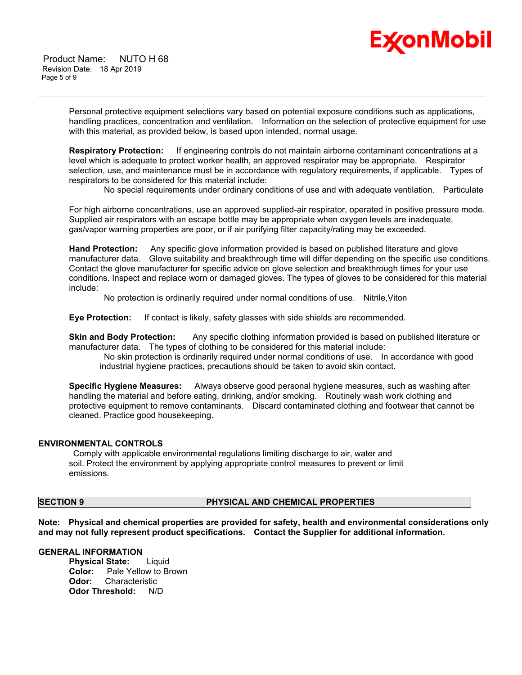

 Product Name: NUTO H 68 Revision Date: 18 Apr 2019 Page 5 of 9

> Personal protective equipment selections vary based on potential exposure conditions such as applications, handling practices, concentration and ventilation. Information on the selection of protective equipment for use with this material, as provided below, is based upon intended, normal usage.

\_\_\_\_\_\_\_\_\_\_\_\_\_\_\_\_\_\_\_\_\_\_\_\_\_\_\_\_\_\_\_\_\_\_\_\_\_\_\_\_\_\_\_\_\_\_\_\_\_\_\_\_\_\_\_\_\_\_\_\_\_\_\_\_\_\_\_\_\_\_\_\_\_\_\_\_\_\_\_\_\_\_\_\_\_\_\_\_\_\_\_\_\_\_\_\_\_\_\_\_\_\_\_\_\_\_\_\_\_\_\_\_\_\_\_\_\_\_

**Respiratory Protection:** If engineering controls do not maintain airborne contaminant concentrations at a level which is adequate to protect worker health, an approved respirator may be appropriate. Respirator selection, use, and maintenance must be in accordance with regulatory requirements, if applicable. Types of respirators to be considered for this material include:

No special requirements under ordinary conditions of use and with adequate ventilation. Particulate

For high airborne concentrations, use an approved supplied-air respirator, operated in positive pressure mode. Supplied air respirators with an escape bottle may be appropriate when oxygen levels are inadequate, gas/vapor warning properties are poor, or if air purifying filter capacity/rating may be exceeded.

**Hand Protection:** Any specific glove information provided is based on published literature and glove manufacturer data. Glove suitability and breakthrough time will differ depending on the specific use conditions. Contact the glove manufacturer for specific advice on glove selection and breakthrough times for your use conditions. Inspect and replace worn or damaged gloves. The types of gloves to be considered for this material include:

No protection is ordinarily required under normal conditions of use. Nitrile,Viton

**Eye Protection:** If contact is likely, safety glasses with side shields are recommended.

**Skin and Body Protection:** Any specific clothing information provided is based on published literature or manufacturer data. The types of clothing to be considered for this material include:

 No skin protection is ordinarily required under normal conditions of use. In accordance with good industrial hygiene practices, precautions should be taken to avoid skin contact.

**Specific Hygiene Measures:** Always observe good personal hygiene measures, such as washing after handling the material and before eating, drinking, and/or smoking. Routinely wash work clothing and protective equipment to remove contaminants. Discard contaminated clothing and footwear that cannot be cleaned. Practice good housekeeping.

#### **ENVIRONMENTAL CONTROLS**

 Comply with applicable environmental regulations limiting discharge to air, water and soil. Protect the environment by applying appropriate control measures to prevent or limit emissions.

### **SECTION 9 PHYSICAL AND CHEMICAL PROPERTIES**

**Note: Physical and chemical properties are provided for safety, health and environmental considerations only and may not fully represent product specifications. Contact the Supplier for additional information.**

#### **GENERAL INFORMATION**

**Physical State:** Liquid **Color:** Pale Yellow to Brown **Odor:** Characteristic **Odor Threshold:** N/D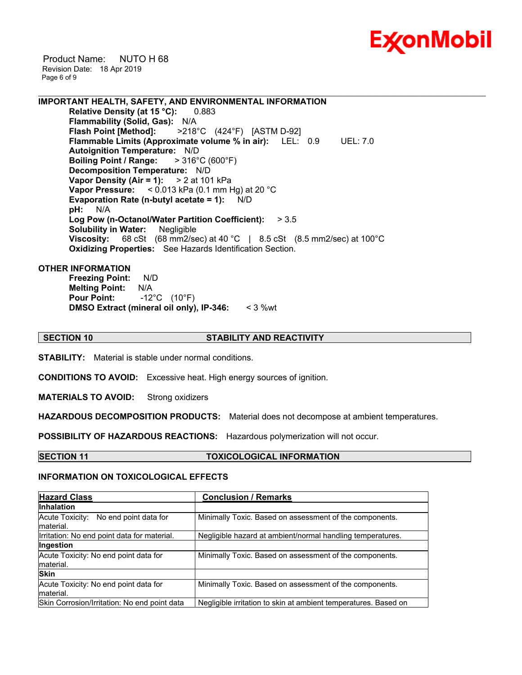

 Product Name: NUTO H 68 Revision Date: 18 Apr 2019 Page 6 of 9

**IMPORTANT HEALTH, SAFETY, AND ENVIRONMENTAL INFORMATION Relative Density (at 15 °C):** 0.883 **Flammability (Solid, Gas):** N/A<br>**Flash Point [Method]:** >218 **Flash Point [Method]:** >218°C (424°F) [ASTM D-92] **Flammable Limits (Approximate volume % in air):** LEL: 0.9 UEL: 7.0 **Autoignition Temperature:** N/D **Boiling Point / Range:** > 316°C (600°F) **Decomposition Temperature:** N/D **Vapor Density (Air = 1):** > 2 at 101 kPa **Vapor Pressure:** < 0.013 kPa (0.1 mm Hg) at 20 °C **Evaporation Rate (n-butyl acetate = 1):** N/D **pH:** N/A **Log Pow (n-Octanol/Water Partition Coefficient):** > 3.5 **Solubility in Water:** Negligible

**Viscosity:** 68 cSt (68 mm2/sec) at 40 °C | 8.5 cSt (8.5 mm2/sec) at 100°C **Oxidizing Properties:** See Hazards Identification Section.

#### **OTHER INFORMATION**

**Freezing Point:** N/D **Melting Point:** N/A **Pour Point:** -12°C (10°F) **DMSO Extract (mineral oil only), IP-346:** < 3 %wt

#### **SECTION 10 STABILITY AND REACTIVITY**

\_\_\_\_\_\_\_\_\_\_\_\_\_\_\_\_\_\_\_\_\_\_\_\_\_\_\_\_\_\_\_\_\_\_\_\_\_\_\_\_\_\_\_\_\_\_\_\_\_\_\_\_\_\_\_\_\_\_\_\_\_\_\_\_\_\_\_\_\_\_\_\_\_\_\_\_\_\_\_\_\_\_\_\_\_\_\_\_\_\_\_\_\_\_\_\_\_\_\_\_\_\_\_\_\_\_\_\_\_\_\_\_\_\_\_\_\_\_

**STABILITY:** Material is stable under normal conditions.

**CONDITIONS TO AVOID:** Excessive heat. High energy sources of ignition.

**MATERIALS TO AVOID:** Strong oxidizers

**HAZARDOUS DECOMPOSITION PRODUCTS:** Material does not decompose at ambient temperatures.

**POSSIBILITY OF HAZARDOUS REACTIONS:** Hazardous polymerization will not occur.

#### **SECTION 11 TOXICOLOGICAL INFORMATION**

#### **INFORMATION ON TOXICOLOGICAL EFFECTS**

| <b>Hazard Class</b>                                | <b>Conclusion / Remarks</b>                                     |  |
|----------------------------------------------------|-----------------------------------------------------------------|--|
| <b>Inhalation</b>                                  |                                                                 |  |
| Acute Toxicity: No end point data for<br>material. | Minimally Toxic. Based on assessment of the components.         |  |
| Irritation: No end point data for material.        | Negligible hazard at ambient/normal handling temperatures.      |  |
| Ingestion                                          |                                                                 |  |
| Acute Toxicity: No end point data for<br>material. | Minimally Toxic. Based on assessment of the components.         |  |
| <b>Skin</b>                                        |                                                                 |  |
| Acute Toxicity: No end point data for<br>material. | Minimally Toxic. Based on assessment of the components.         |  |
| Skin Corrosion/Irritation: No end point data       | Negligible irritation to skin at ambient temperatures. Based on |  |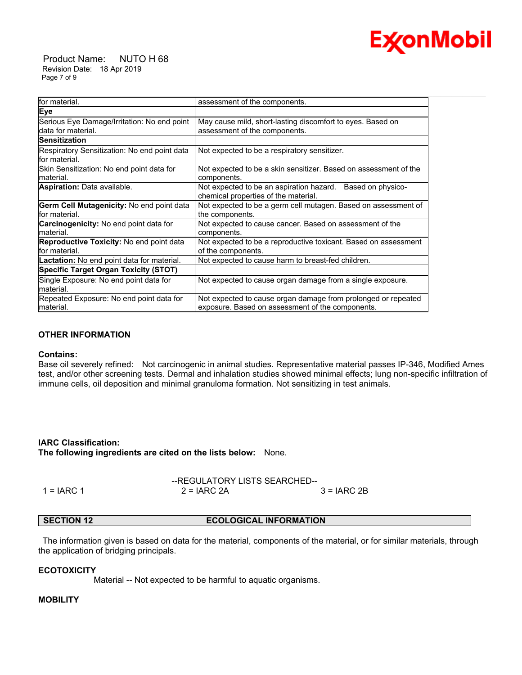# **Ex⁄onMobil**

 Product Name: NUTO H 68 Revision Date: 18 Apr 2019 Page 7 of 9

| assessment of the components.<br>May cause mild, short-lasting discomfort to eyes. Based on<br>assessment of the components.<br>Not expected to be a respiratory sensitizer.<br>Not expected to be a skin sensitizer. Based on assessment of the<br>components.<br>Not expected to be an aspiration hazard. Based on physico-<br>chemical properties of the material.<br>the components.<br>Not expected to cause cancer. Based on assessment of the<br>components.<br>Not expected to be a reproductive toxicant. Based on assessment<br>of the components.<br>Not expected to cause harm to breast-fed children.<br>Not expected to cause organ damage from a single exposure.<br>Not expected to cause organ damage from prolonged or repeated<br>exposure. Based on assessment of the components. |                                                                    |                                                                |
|-------------------------------------------------------------------------------------------------------------------------------------------------------------------------------------------------------------------------------------------------------------------------------------------------------------------------------------------------------------------------------------------------------------------------------------------------------------------------------------------------------------------------------------------------------------------------------------------------------------------------------------------------------------------------------------------------------------------------------------------------------------------------------------------------------|--------------------------------------------------------------------|----------------------------------------------------------------|
|                                                                                                                                                                                                                                                                                                                                                                                                                                                                                                                                                                                                                                                                                                                                                                                                       | for material.                                                      |                                                                |
|                                                                                                                                                                                                                                                                                                                                                                                                                                                                                                                                                                                                                                                                                                                                                                                                       | Eye                                                                |                                                                |
|                                                                                                                                                                                                                                                                                                                                                                                                                                                                                                                                                                                                                                                                                                                                                                                                       | Serious Eye Damage/Irritation: No end point<br>ldata for material. |                                                                |
|                                                                                                                                                                                                                                                                                                                                                                                                                                                                                                                                                                                                                                                                                                                                                                                                       | <b>Sensitization</b>                                               |                                                                |
|                                                                                                                                                                                                                                                                                                                                                                                                                                                                                                                                                                                                                                                                                                                                                                                                       | Respiratory Sensitization: No end point data<br>for material.      |                                                                |
|                                                                                                                                                                                                                                                                                                                                                                                                                                                                                                                                                                                                                                                                                                                                                                                                       | Skin Sensitization: No end point data for<br>Imaterial.            |                                                                |
|                                                                                                                                                                                                                                                                                                                                                                                                                                                                                                                                                                                                                                                                                                                                                                                                       | Aspiration: Data available.                                        |                                                                |
|                                                                                                                                                                                                                                                                                                                                                                                                                                                                                                                                                                                                                                                                                                                                                                                                       | <b>Germ Cell Mutagenicity: No end point data</b><br>for material.  | Not expected to be a germ cell mutagen. Based on assessment of |
|                                                                                                                                                                                                                                                                                                                                                                                                                                                                                                                                                                                                                                                                                                                                                                                                       | <b>Carcinogenicity:</b> No end point data for<br>material.         |                                                                |
|                                                                                                                                                                                                                                                                                                                                                                                                                                                                                                                                                                                                                                                                                                                                                                                                       | <b>Reproductive Toxicity:</b> No end point data<br>for material.   |                                                                |
|                                                                                                                                                                                                                                                                                                                                                                                                                                                                                                                                                                                                                                                                                                                                                                                                       | Lactation: No end point data for material.                         |                                                                |
|                                                                                                                                                                                                                                                                                                                                                                                                                                                                                                                                                                                                                                                                                                                                                                                                       | Specific Target Organ Toxicity (STOT)                              |                                                                |
|                                                                                                                                                                                                                                                                                                                                                                                                                                                                                                                                                                                                                                                                                                                                                                                                       | Single Exposure: No end point data for<br>material.                |                                                                |
|                                                                                                                                                                                                                                                                                                                                                                                                                                                                                                                                                                                                                                                                                                                                                                                                       | Repeated Exposure: No end point data for<br>material.              |                                                                |

## **OTHER INFORMATION**

#### **Contains:**

Base oil severely refined: Not carcinogenic in animal studies. Representative material passes IP-346, Modified Ames test, and/or other screening tests. Dermal and inhalation studies showed minimal effects; lung non-specific infiltration of immune cells, oil deposition and minimal granuloma formation. Not sensitizing in test animals.

**IARC Classification: The following ingredients are cited on the lists below:** None.

|              | --REGULATORY LISTS SEARCHED-- |               |
|--------------|-------------------------------|---------------|
| $1 = IARC 1$ | $2 = IARC 2A$                 | $3 = IARC 2B$ |

## **SECTION 12 ECOLOGICAL INFORMATION**

 The information given is based on data for the material, components of the material, or for similar materials, through the application of bridging principals.

#### **ECOTOXICITY**

Material -- Not expected to be harmful to aquatic organisms.

## **MOBILITY**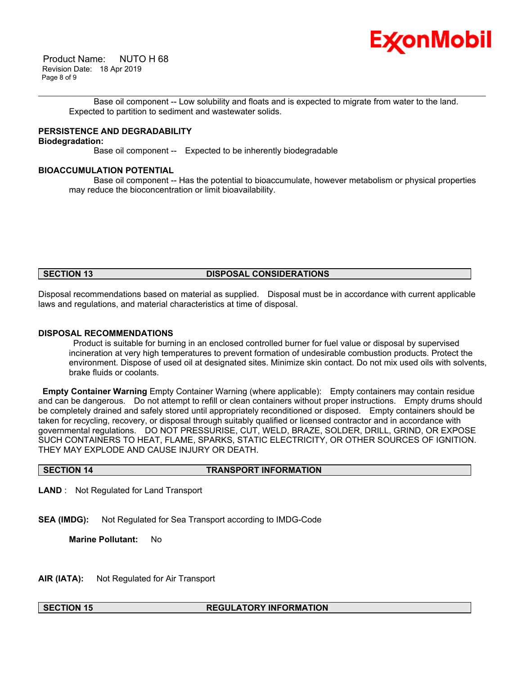

 Product Name: NUTO H 68 Revision Date: 18 Apr 2019 Page 8 of 9

\_\_\_\_\_\_\_\_\_\_\_\_\_\_\_\_\_\_\_\_\_\_\_\_\_\_\_\_\_\_\_\_\_\_\_\_\_\_\_\_\_\_\_\_\_\_\_\_\_\_\_\_\_\_\_\_\_\_\_\_\_\_\_\_\_\_\_\_\_\_\_\_\_\_\_\_\_\_\_\_\_\_\_\_\_\_\_\_\_\_\_\_\_\_\_\_\_\_\_\_\_\_\_\_\_\_\_\_\_\_\_\_\_\_\_\_\_\_ Base oil component -- Low solubility and floats and is expected to migrate from water to the land. Expected to partition to sediment and wastewater solids.

## **PERSISTENCE AND DEGRADABILITY**

## **Biodegradation:**

Base oil component -- Expected to be inherently biodegradable

## **BIOACCUMULATION POTENTIAL**

 Base oil component -- Has the potential to bioaccumulate, however metabolism or physical properties may reduce the bioconcentration or limit bioavailability.

#### **SECTION 13 DISPOSAL CONSIDERATIONS**

Disposal recommendations based on material as supplied. Disposal must be in accordance with current applicable laws and regulations, and material characteristics at time of disposal.

#### **DISPOSAL RECOMMENDATIONS**

 Product is suitable for burning in an enclosed controlled burner for fuel value or disposal by supervised incineration at very high temperatures to prevent formation of undesirable combustion products. Protect the environment. Dispose of used oil at designated sites. Minimize skin contact. Do not mix used oils with solvents, brake fluids or coolants.

**Empty Container Warning** Empty Container Warning (where applicable): Empty containers may contain residue and can be dangerous. Do not attempt to refill or clean containers without proper instructions. Empty drums should be completely drained and safely stored until appropriately reconditioned or disposed. Empty containers should be taken for recycling, recovery, or disposal through suitably qualified or licensed contractor and in accordance with governmental regulations. DO NOT PRESSURISE, CUT, WELD, BRAZE, SOLDER, DRILL, GRIND, OR EXPOSE SUCH CONTAINERS TO HEAT, FLAME, SPARKS, STATIC ELECTRICITY, OR OTHER SOURCES OF IGNITION. THEY MAY EXPLODE AND CAUSE INJURY OR DEATH.

#### **SECTION 14 TRANSPORT INFORMATION**

**LAND** : Not Regulated for Land Transport

**SEA (IMDG):** Not Regulated for Sea Transport according to IMDG-Code

**Marine Pollutant:** No

**AIR (IATA):** Not Regulated for Air Transport

### **SECTION 15 REGULATORY INFORMATION**